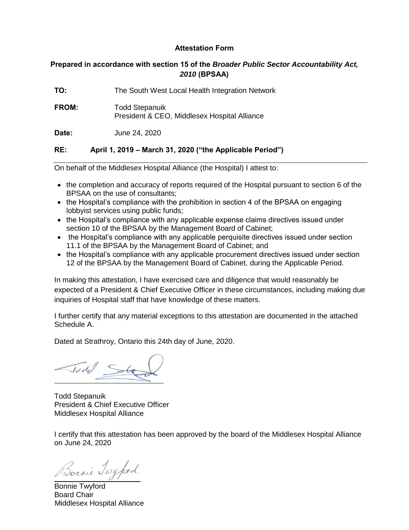## **Attestation Form**

## **Prepared in accordance with section 15 of the** *Broader Public Sector Accountability Act, 2010* **(BPSAA)**

| TO:          | The South West Local Health Integration Network                       |
|--------------|-----------------------------------------------------------------------|
| <b>FROM:</b> | <b>Todd Stepanuik</b><br>President & CEO, Middlesex Hospital Alliance |
| Date:        | June 24, 2020                                                         |

## **RE: April 1, 2019 – March 31, 2020 ("the Applicable Period")**

On behalf of the Middlesex Hospital Alliance (the Hospital) I attest to:

- the completion and accuracy of reports required of the Hospital pursuant to section 6 of the BPSAA on the use of consultants;
- the Hospital's compliance with the prohibition in section 4 of the BPSAA on engaging lobbyist services using public funds;
- the Hospital's compliance with any applicable expense claims directives issued under section 10 of the BPSAA by the Management Board of Cabinet;
- the Hospital's compliance with any applicable perquisite directives issued under section 11.1 of the BPSAA by the Management Board of Cabinet; and
- the Hospital's compliance with any applicable procurement directives issued under section 12 of the BPSAA by the Management Board of Cabinet, during the Applicable Period.

In making this attestation, I have exercised care and diligence that would reasonably be expected of a President & Chief Executive Officer in these circumstances, including making due inquiries of Hospital staff that have knowledge of these matters.

I further certify that any material exceptions to this attestation are documented in the attached Schedule A.

Dated at Strathroy, Ontario this 24th day of June, 2020.

Jodel Ste

Todd Stepanuik President & Chief Executive Officer Middlesex Hospital Alliance

I certify that this attestation has been approved by the board of the Middlesex Hospital Alliance on June 24, 2020

Bornie Twyford

Bonnie Twyford Board Chair Middlesex Hospital Alliance